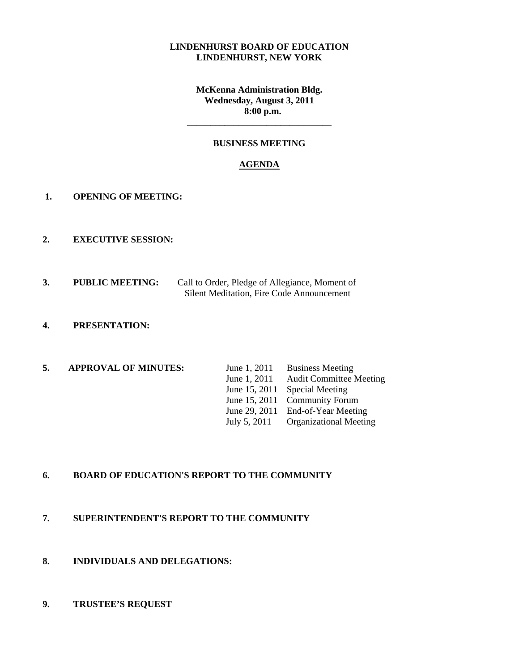#### **LINDENHURST BOARD OF EDUCATION LINDENHURST, NEW YORK**

**McKenna Administration Bldg. Wednesday, August 3, 2011 8:00 p.m.** 

**\_\_\_\_\_\_\_\_\_\_\_\_\_\_\_\_\_\_\_\_\_\_\_\_\_\_\_\_\_\_\_** 

#### **BUSINESS MEETING**

#### **AGENDA**

- **1. OPENING OF MEETING:**
- **2. EXECUTIVE SESSION:**
- **3. PUBLIC MEETING:** Call to Order, Pledge of Allegiance, Moment of Silent Meditation, Fire Code Announcement
- **4. PRESENTATION:**
- **5. APPROVAL OF MINUTES:** June 1, 2011 Business Meeting

June 1, 2011 Audit Committee Meeting June 15, 2011 Special Meeting June 15, 2011 Community Forum June 29, 2011 End-of-Year Meeting July 5, 2011 Organizational Meeting

## **6. BOARD OF EDUCATION'S REPORT TO THE COMMUNITY**

- **7. SUPERINTENDENT'S REPORT TO THE COMMUNITY**
- **8. INDIVIDUALS AND DELEGATIONS:**
- **9. TRUSTEE'S REQUEST**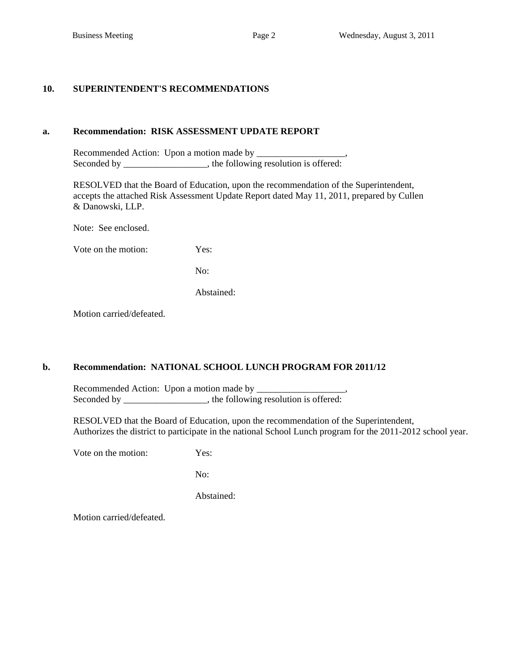#### **10. SUPERINTENDENT'S RECOMMENDATIONS**

#### **a. Recommendation: RISK ASSESSMENT UPDATE REPORT**

 Recommended Action: Upon a motion made by \_\_\_\_\_\_\_\_\_\_\_\_\_\_\_\_\_\_\_, Seconded by \_\_\_\_\_\_\_\_\_\_\_\_\_, the following resolution is offered:

 RESOLVED that the Board of Education, upon the recommendation of the Superintendent, accepts the attached Risk Assessment Update Report dated May 11, 2011, prepared by Cullen & Danowski, LLP.

Note: See enclosed.

Vote on the motion: Yes:

No:

Abstained:

Motion carried/defeated.

#### **b. Recommendation: NATIONAL SCHOOL LUNCH PROGRAM FOR 2011/12**

 Recommended Action: Upon a motion made by \_\_\_\_\_\_\_\_\_\_\_\_\_\_\_\_\_\_\_, Seconded by \_\_\_\_\_\_\_\_\_\_\_\_\_\_, the following resolution is offered:

 RESOLVED that the Board of Education, upon the recommendation of the Superintendent, Authorizes the district to participate in the national School Lunch program for the 2011-2012 school year.

Vote on the motion: Yes:

No:

Abstained: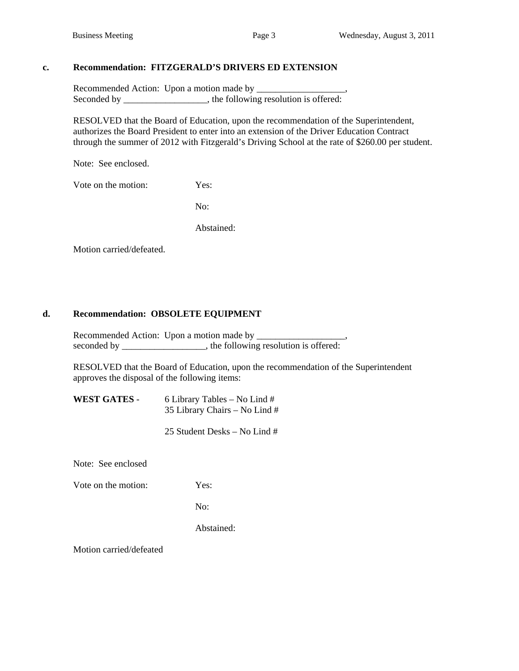#### **c. Recommendation: FITZGERALD'S DRIVERS ED EXTENSION**

 Recommended Action: Upon a motion made by \_\_\_\_\_\_\_\_\_\_\_\_\_\_\_\_\_\_\_, Seconded by the following resolution is offered:

 RESOLVED that the Board of Education, upon the recommendation of the Superintendent, authorizes the Board President to enter into an extension of the Driver Education Contract through the summer of 2012 with Fitzgerald's Driving School at the rate of \$260.00 per student.

Note: See enclosed.

Vote on the motion: Yes:

No:

Abstained:

Motion carried/defeated.

#### **d. Recommendation: OBSOLETE EQUIPMENT**

Recommended Action: Upon a motion made by \_\_\_\_\_\_\_\_\_\_\_\_\_\_\_\_\_\_\_, seconded by the following resolution is offered:

RESOLVED that the Board of Education, upon the recommendation of the Superintendent approves the disposal of the following items:

 **WEST GATES** - 6 Library Tables – No Lind # 35 Library Chairs – No Lind #

25 Student Desks – No Lind #

Note: See enclosed

Vote on the motion: Yes:

No:

Abstained: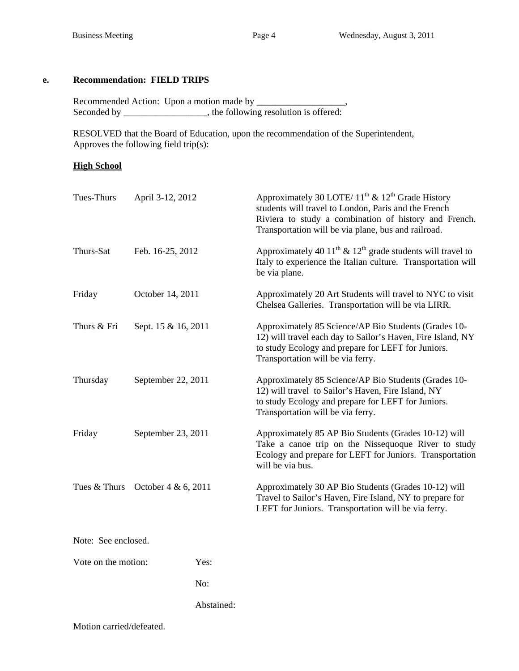# **e. Recommendation: FIELD TRIPS**

 Recommended Action: Upon a motion made by \_\_\_\_\_\_\_\_\_\_\_\_\_\_\_\_\_\_\_, Seconded by \_\_\_\_\_\_\_\_\_\_\_\_\_\_, the following resolution is offered:

 RESOLVED that the Board of Education, upon the recommendation of the Superintendent, Approves the following field trip(s):

#### **High School**

| Tues-Thurs                         | April 3-12, 2012    |            | Approximately 30 LOTE/ $11^{th}$ & $12^{th}$ Grade History<br>students will travel to London, Paris and the French<br>Riviera to study a combination of history and French.<br>Transportation will be via plane, bus and railroad. |
|------------------------------------|---------------------|------------|------------------------------------------------------------------------------------------------------------------------------------------------------------------------------------------------------------------------------------|
| Thurs-Sat                          | Feb. 16-25, 2012    |            | Approximately 40 11 <sup>th</sup> $\&$ 12 <sup>th</sup> grade students will travel to<br>Italy to experience the Italian culture. Transportation will<br>be via plane.                                                             |
| Friday                             | October 14, 2011    |            | Approximately 20 Art Students will travel to NYC to visit<br>Chelsea Galleries. Transportation will be via LIRR.                                                                                                                   |
| Thurs & Fri                        | Sept. 15 & 16, 2011 |            | Approximately 85 Science/AP Bio Students (Grades 10-<br>12) will travel each day to Sailor's Haven, Fire Island, NY<br>to study Ecology and prepare for LEFT for Juniors.<br>Transportation will be via ferry.                     |
| Thursday                           | September 22, 2011  |            | Approximately 85 Science/AP Bio Students (Grades 10-<br>12) will travel to Sailor's Haven, Fire Island, NY<br>to study Ecology and prepare for LEFT for Juniors.<br>Transportation will be via ferry.                              |
| Friday                             | September 23, 2011  |            | Approximately 85 AP Bio Students (Grades 10-12) will<br>Take a canoe trip on the Nissequoque River to study<br>Ecology and prepare for LEFT for Juniors. Transportation<br>will be via bus.                                        |
| Tues & Thurs October $4 & 6, 2011$ |                     |            | Approximately 30 AP Bio Students (Grades 10-12) will<br>Travel to Sailor's Haven, Fire Island, NY to prepare for<br>LEFT for Juniors. Transportation will be via ferry.                                                            |
| Note: See enclosed.                |                     |            |                                                                                                                                                                                                                                    |
| Vote on the motion:                |                     | Yes:       |                                                                                                                                                                                                                                    |
|                                    |                     | No:        |                                                                                                                                                                                                                                    |
|                                    |                     | Abstained: |                                                                                                                                                                                                                                    |
|                                    |                     |            |                                                                                                                                                                                                                                    |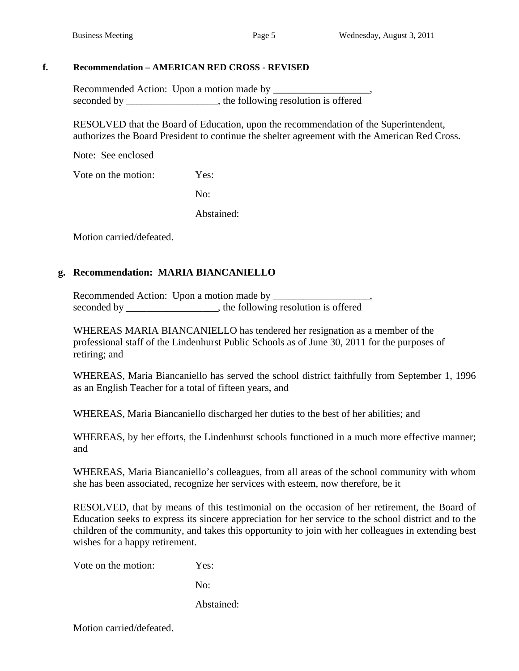## **f. Recommendation – AMERICAN RED CROSS - REVISED**

Recommended Action: Upon a motion made by \_\_\_\_\_\_\_\_\_\_\_\_\_\_\_\_\_\_\_, seconded by \_\_\_\_\_\_\_\_\_\_\_\_\_\_\_\_, the following resolution is offered

RESOLVED that the Board of Education, upon the recommendation of the Superintendent, authorizes the Board President to continue the shelter agreement with the American Red Cross.

Note: See enclosed

Vote on the motion: Yes:

No:

Abstained:

Motion carried/defeated.

# **g. Recommendation: MARIA BIANCANIELLO**

 Recommended Action: Upon a motion made by \_\_\_\_\_\_\_\_\_\_\_\_\_\_\_\_\_\_\_, seconded by \_\_\_\_\_\_\_\_\_\_\_\_\_\_\_\_, the following resolution is offered

WHEREAS MARIA BIANCANIELLO has tendered her resignation as a member of the professional staff of the Lindenhurst Public Schools as of June 30, 2011 for the purposes of retiring; and

WHEREAS, Maria Biancaniello has served the school district faithfully from September 1, 1996 as an English Teacher for a total of fifteen years, and

WHEREAS, Maria Biancaniello discharged her duties to the best of her abilities; and

WHEREAS, by her efforts, the Lindenhurst schools functioned in a much more effective manner; and

WHEREAS, Maria Biancaniello's colleagues, from all areas of the school community with whom she has been associated, recognize her services with esteem, now therefore, be it

RESOLVED, that by means of this testimonial on the occasion of her retirement, the Board of Education seeks to express its sincere appreciation for her service to the school district and to the children of the community, and takes this opportunity to join with her colleagues in extending best wishes for a happy retirement.

Vote on the motion: Yes:

No:

Abstained: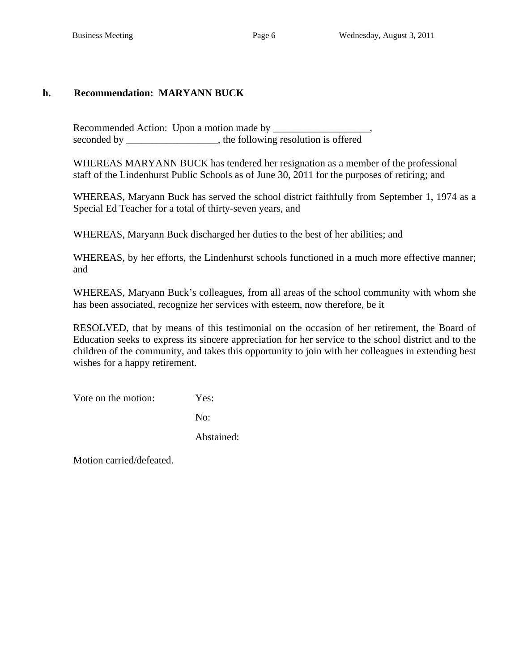# **h. Recommendation: MARYANN BUCK**

 Recommended Action: Upon a motion made by \_\_\_\_\_\_\_\_\_\_\_\_\_\_\_\_\_\_\_, seconded by \_\_\_\_\_\_\_\_\_\_\_\_\_\_\_\_, the following resolution is offered

WHEREAS MARYANN BUCK has tendered her resignation as a member of the professional staff of the Lindenhurst Public Schools as of June 30, 2011 for the purposes of retiring; and

WHEREAS, Maryann Buck has served the school district faithfully from September 1, 1974 as a Special Ed Teacher for a total of thirty-seven years, and

WHEREAS, Maryann Buck discharged her duties to the best of her abilities; and

WHEREAS, by her efforts, the Lindenhurst schools functioned in a much more effective manner; and

WHEREAS, Maryann Buck's colleagues, from all areas of the school community with whom she has been associated, recognize her services with esteem, now therefore, be it

RESOLVED, that by means of this testimonial on the occasion of her retirement, the Board of Education seeks to express its sincere appreciation for her service to the school district and to the children of the community, and takes this opportunity to join with her colleagues in extending best wishes for a happy retirement.

Vote on the motion: Yes:

No:

Abstained: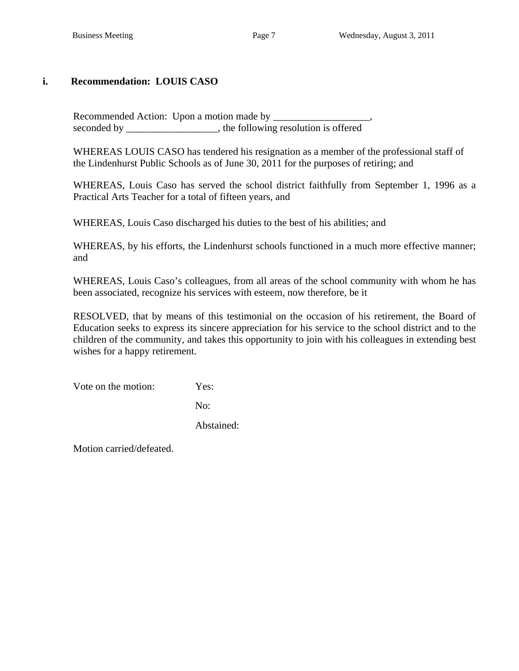# **i. Recommendation: LOUIS CASO**

 Recommended Action: Upon a motion made by \_\_\_\_\_\_\_\_\_\_\_\_\_\_\_\_\_\_\_, seconded by the following resolution is offered

WHEREAS LOUIS CASO has tendered his resignation as a member of the professional staff of the Lindenhurst Public Schools as of June 30, 2011 for the purposes of retiring; and

WHEREAS, Louis Caso has served the school district faithfully from September 1, 1996 as a Practical Arts Teacher for a total of fifteen years, and

WHEREAS, Louis Caso discharged his duties to the best of his abilities; and

WHEREAS, by his efforts, the Lindenhurst schools functioned in a much more effective manner; and

WHEREAS, Louis Caso's colleagues, from all areas of the school community with whom he has been associated, recognize his services with esteem, now therefore, be it

RESOLVED, that by means of this testimonial on the occasion of his retirement, the Board of Education seeks to express its sincere appreciation for his service to the school district and to the children of the community, and takes this opportunity to join with his colleagues in extending best wishes for a happy retirement.

Vote on the motion: Yes:

No:

Abstained: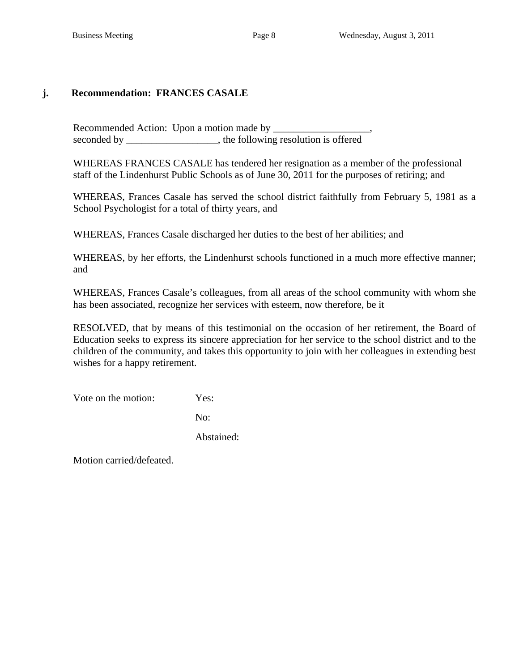# **j. Recommendation: FRANCES CASALE**

 Recommended Action: Upon a motion made by \_\_\_\_\_\_\_\_\_\_\_\_\_\_\_\_\_\_\_, seconded by \_\_\_\_\_\_\_\_\_\_\_\_\_\_\_\_, the following resolution is offered

WHEREAS FRANCES CASALE has tendered her resignation as a member of the professional staff of the Lindenhurst Public Schools as of June 30, 2011 for the purposes of retiring; and

WHEREAS, Frances Casale has served the school district faithfully from February 5, 1981 as a School Psychologist for a total of thirty years, and

WHEREAS, Frances Casale discharged her duties to the best of her abilities; and

WHEREAS, by her efforts, the Lindenhurst schools functioned in a much more effective manner; and

WHEREAS, Frances Casale's colleagues, from all areas of the school community with whom she has been associated, recognize her services with esteem, now therefore, be it

RESOLVED, that by means of this testimonial on the occasion of her retirement, the Board of Education seeks to express its sincere appreciation for her service to the school district and to the children of the community, and takes this opportunity to join with her colleagues in extending best wishes for a happy retirement.

Vote on the motion: Yes:

No:

Abstained: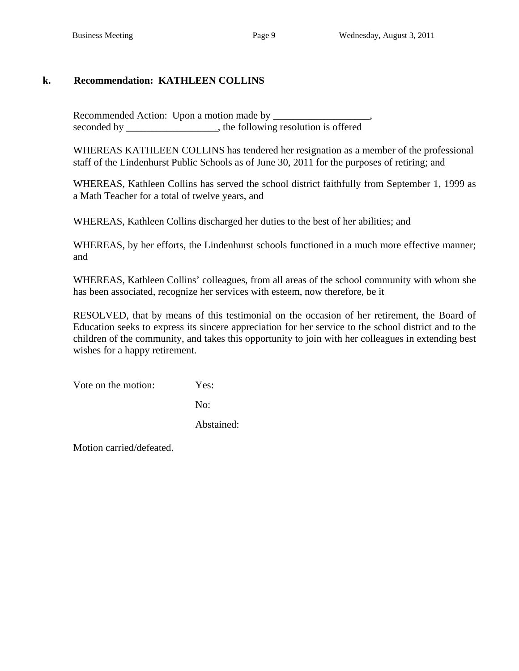# **k. Recommendation: KATHLEEN COLLINS**

 Recommended Action: Upon a motion made by \_\_\_\_\_\_\_\_\_\_\_\_\_\_\_\_\_\_\_, seconded by \_\_\_\_\_\_\_\_\_\_\_\_\_\_\_\_, the following resolution is offered

WHEREAS KATHLEEN COLLINS has tendered her resignation as a member of the professional staff of the Lindenhurst Public Schools as of June 30, 2011 for the purposes of retiring; and

WHEREAS, Kathleen Collins has served the school district faithfully from September 1, 1999 as a Math Teacher for a total of twelve years, and

WHEREAS, Kathleen Collins discharged her duties to the best of her abilities; and

WHEREAS, by her efforts, the Lindenhurst schools functioned in a much more effective manner; and

WHEREAS, Kathleen Collins' colleagues, from all areas of the school community with whom she has been associated, recognize her services with esteem, now therefore, be it

RESOLVED, that by means of this testimonial on the occasion of her retirement, the Board of Education seeks to express its sincere appreciation for her service to the school district and to the children of the community, and takes this opportunity to join with her colleagues in extending best wishes for a happy retirement.

Vote on the motion: Yes:

No:

Abstained: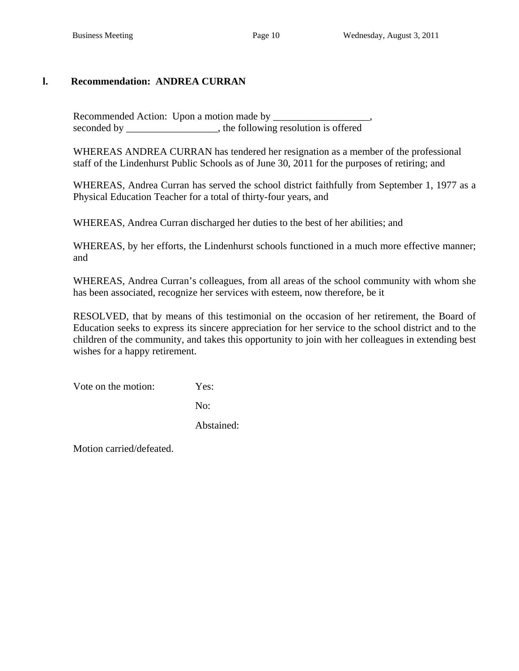# **l. Recommendation: ANDREA CURRAN**

 Recommended Action: Upon a motion made by \_\_\_\_\_\_\_\_\_\_\_\_\_\_\_\_\_\_\_, seconded by \_\_\_\_\_\_\_\_\_\_\_\_\_\_\_, the following resolution is offered

WHEREAS ANDREA CURRAN has tendered her resignation as a member of the professional staff of the Lindenhurst Public Schools as of June 30, 2011 for the purposes of retiring; and

WHEREAS, Andrea Curran has served the school district faithfully from September 1, 1977 as a Physical Education Teacher for a total of thirty-four years, and

WHEREAS, Andrea Curran discharged her duties to the best of her abilities; and

WHEREAS, by her efforts, the Lindenhurst schools functioned in a much more effective manner; and

WHEREAS, Andrea Curran's colleagues, from all areas of the school community with whom she has been associated, recognize her services with esteem, now therefore, be it

RESOLVED, that by means of this testimonial on the occasion of her retirement, the Board of Education seeks to express its sincere appreciation for her service to the school district and to the children of the community, and takes this opportunity to join with her colleagues in extending best wishes for a happy retirement.

Vote on the motion: Yes:

No:

Abstained: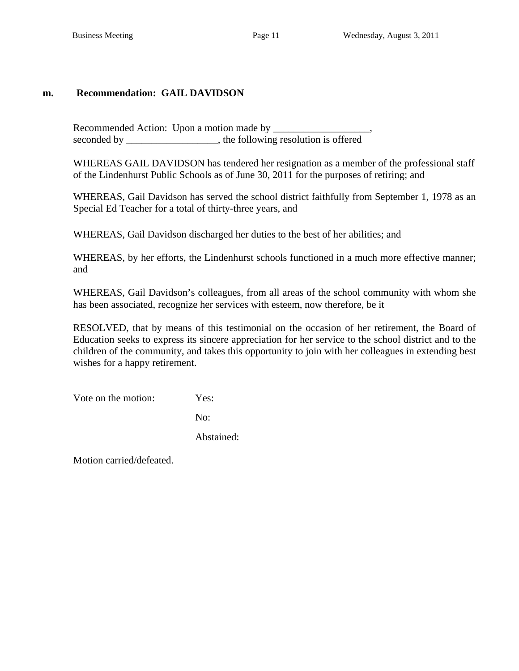## **m. Recommendation: GAIL DAVIDSON**

 Recommended Action: Upon a motion made by \_\_\_\_\_\_\_\_\_\_\_\_\_\_\_\_\_\_\_, seconded by \_\_\_\_\_\_\_\_\_\_\_\_\_\_\_, the following resolution is offered

WHEREAS GAIL DAVIDSON has tendered her resignation as a member of the professional staff of the Lindenhurst Public Schools as of June 30, 2011 for the purposes of retiring; and

WHEREAS, Gail Davidson has served the school district faithfully from September 1, 1978 as an Special Ed Teacher for a total of thirty-three years, and

WHEREAS, Gail Davidson discharged her duties to the best of her abilities; and

WHEREAS, by her efforts, the Lindenhurst schools functioned in a much more effective manner; and

WHEREAS, Gail Davidson's colleagues, from all areas of the school community with whom she has been associated, recognize her services with esteem, now therefore, be it

RESOLVED, that by means of this testimonial on the occasion of her retirement, the Board of Education seeks to express its sincere appreciation for her service to the school district and to the children of the community, and takes this opportunity to join with her colleagues in extending best wishes for a happy retirement.

Vote on the motion: Yes:

No:

Abstained: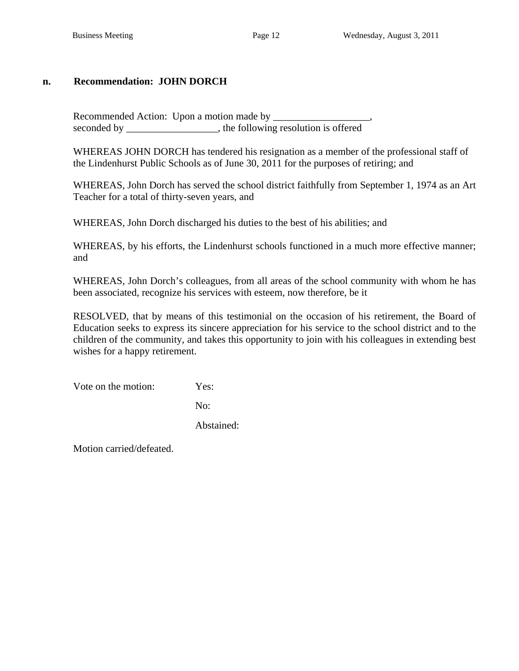## **n. Recommendation: JOHN DORCH**

 Recommended Action: Upon a motion made by \_\_\_\_\_\_\_\_\_\_\_\_\_\_\_\_\_\_\_, seconded by the following resolution is offered

WHEREAS JOHN DORCH has tendered his resignation as a member of the professional staff of the Lindenhurst Public Schools as of June 30, 2011 for the purposes of retiring; and

WHEREAS, John Dorch has served the school district faithfully from September 1, 1974 as an Art Teacher for a total of thirty-seven years, and

WHEREAS, John Dorch discharged his duties to the best of his abilities; and

WHEREAS, by his efforts, the Lindenhurst schools functioned in a much more effective manner; and

WHEREAS, John Dorch's colleagues, from all areas of the school community with whom he has been associated, recognize his services with esteem, now therefore, be it

RESOLVED, that by means of this testimonial on the occasion of his retirement, the Board of Education seeks to express its sincere appreciation for his service to the school district and to the children of the community, and takes this opportunity to join with his colleagues in extending best wishes for a happy retirement.

Vote on the motion: Yes:

No:

Abstained: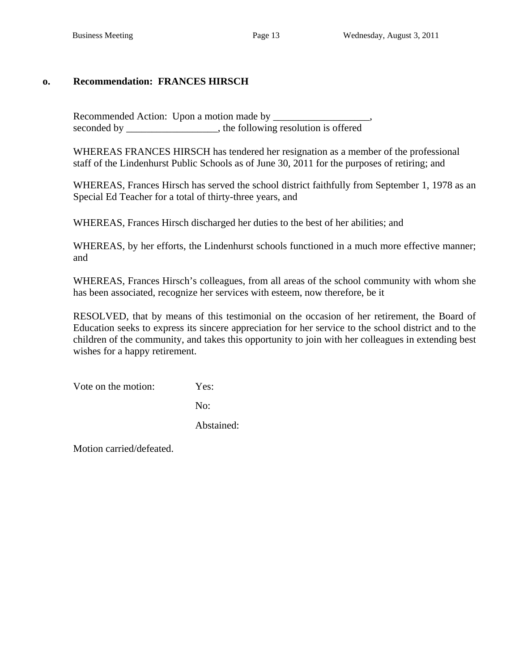# **o. Recommendation: FRANCES HIRSCH**

 Recommended Action: Upon a motion made by \_\_\_\_\_\_\_\_\_\_\_\_\_\_\_\_\_\_\_, seconded by \_\_\_\_\_\_\_\_\_\_\_\_\_\_\_, the following resolution is offered

WHEREAS FRANCES HIRSCH has tendered her resignation as a member of the professional staff of the Lindenhurst Public Schools as of June 30, 2011 for the purposes of retiring; and

WHEREAS, Frances Hirsch has served the school district faithfully from September 1, 1978 as an Special Ed Teacher for a total of thirty-three years, and

WHEREAS, Frances Hirsch discharged her duties to the best of her abilities; and

WHEREAS, by her efforts, the Lindenhurst schools functioned in a much more effective manner; and

WHEREAS, Frances Hirsch's colleagues, from all areas of the school community with whom she has been associated, recognize her services with esteem, now therefore, be it

RESOLVED, that by means of this testimonial on the occasion of her retirement, the Board of Education seeks to express its sincere appreciation for her service to the school district and to the children of the community, and takes this opportunity to join with her colleagues in extending best wishes for a happy retirement.

Vote on the motion: Yes:

No:

Abstained: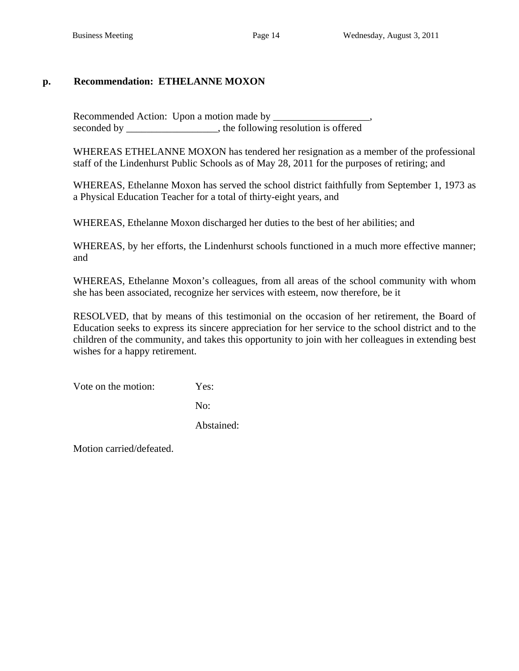# **p. Recommendation: ETHELANNE MOXON**

 Recommended Action: Upon a motion made by \_\_\_\_\_\_\_\_\_\_\_\_\_\_\_\_\_\_\_, seconded by \_\_\_\_\_\_\_\_\_\_\_\_\_\_\_, the following resolution is offered

WHEREAS ETHELANNE MOXON has tendered her resignation as a member of the professional staff of the Lindenhurst Public Schools as of May 28, 2011 for the purposes of retiring; and

WHEREAS, Ethelanne Moxon has served the school district faithfully from September 1, 1973 as a Physical Education Teacher for a total of thirty-eight years, and

WHEREAS, Ethelanne Moxon discharged her duties to the best of her abilities; and

WHEREAS, by her efforts, the Lindenhurst schools functioned in a much more effective manner; and

WHEREAS, Ethelanne Moxon's colleagues, from all areas of the school community with whom she has been associated, recognize her services with esteem, now therefore, be it

RESOLVED, that by means of this testimonial on the occasion of her retirement, the Board of Education seeks to express its sincere appreciation for her service to the school district and to the children of the community, and takes this opportunity to join with her colleagues in extending best wishes for a happy retirement.

Vote on the motion: Yes:

No:

Abstained: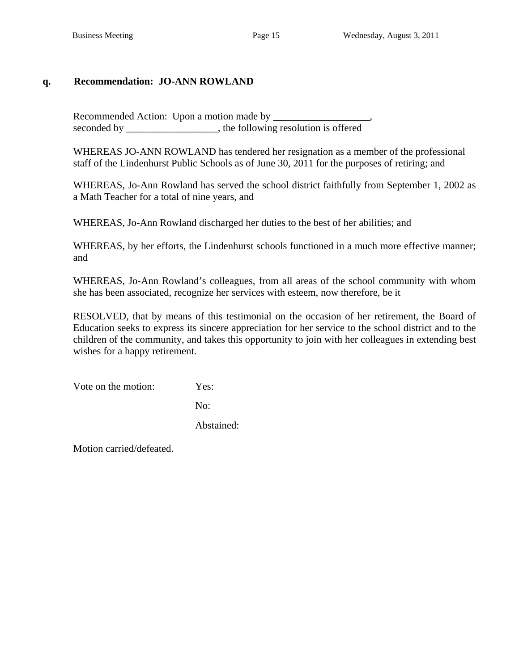## **q. Recommendation: JO-ANN ROWLAND**

 Recommended Action: Upon a motion made by \_\_\_\_\_\_\_\_\_\_\_\_\_\_\_\_\_\_\_, seconded by \_\_\_\_\_\_\_\_\_\_\_\_\_\_\_, the following resolution is offered

WHEREAS JO-ANN ROWLAND has tendered her resignation as a member of the professional staff of the Lindenhurst Public Schools as of June 30, 2011 for the purposes of retiring; and

WHEREAS, Jo-Ann Rowland has served the school district faithfully from September 1, 2002 as a Math Teacher for a total of nine years, and

WHEREAS, Jo-Ann Rowland discharged her duties to the best of her abilities; and

WHEREAS, by her efforts, the Lindenhurst schools functioned in a much more effective manner; and

WHEREAS, Jo-Ann Rowland's colleagues, from all areas of the school community with whom she has been associated, recognize her services with esteem, now therefore, be it

RESOLVED, that by means of this testimonial on the occasion of her retirement, the Board of Education seeks to express its sincere appreciation for her service to the school district and to the children of the community, and takes this opportunity to join with her colleagues in extending best wishes for a happy retirement.

Vote on the motion: Yes:

No:

Abstained: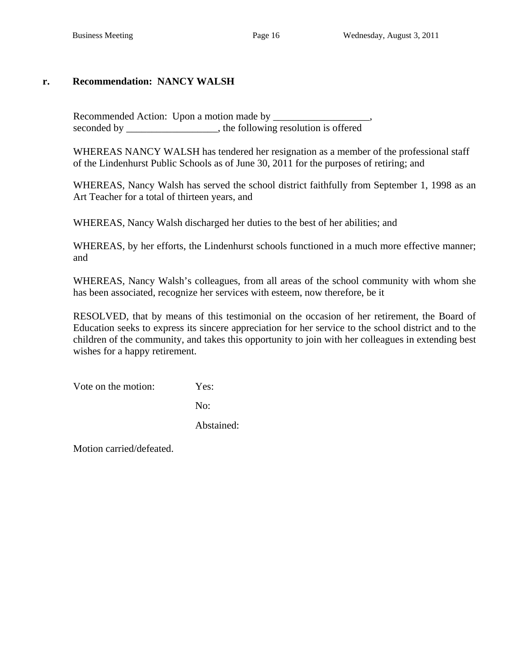## **r. Recommendation: NANCY WALSH**

 Recommended Action: Upon a motion made by \_\_\_\_\_\_\_\_\_\_\_\_\_\_\_\_\_\_\_, seconded by \_\_\_\_\_\_\_\_\_\_\_\_\_\_\_, the following resolution is offered

WHEREAS NANCY WALSH has tendered her resignation as a member of the professional staff of the Lindenhurst Public Schools as of June 30, 2011 for the purposes of retiring; and

WHEREAS, Nancy Walsh has served the school district faithfully from September 1, 1998 as an Art Teacher for a total of thirteen years, and

WHEREAS, Nancy Walsh discharged her duties to the best of her abilities; and

WHEREAS, by her efforts, the Lindenhurst schools functioned in a much more effective manner; and

WHEREAS, Nancy Walsh's colleagues, from all areas of the school community with whom she has been associated, recognize her services with esteem, now therefore, be it

RESOLVED, that by means of this testimonial on the occasion of her retirement, the Board of Education seeks to express its sincere appreciation for her service to the school district and to the children of the community, and takes this opportunity to join with her colleagues in extending best wishes for a happy retirement.

Vote on the motion: Yes:

No:

Abstained: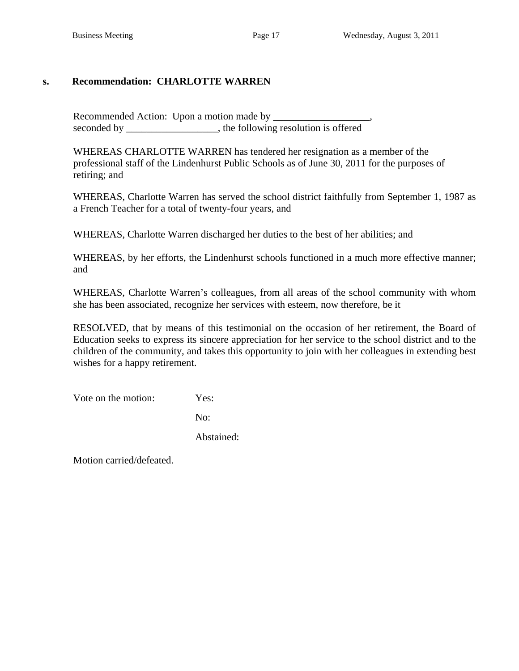## **s. Recommendation: CHARLOTTE WARREN**

 Recommended Action: Upon a motion made by \_\_\_\_\_\_\_\_\_\_\_\_\_\_\_\_\_\_\_, seconded by \_\_\_\_\_\_\_\_\_\_\_\_\_\_\_, the following resolution is offered

WHEREAS CHARLOTTE WARREN has tendered her resignation as a member of the professional staff of the Lindenhurst Public Schools as of June 30, 2011 for the purposes of retiring; and

WHEREAS, Charlotte Warren has served the school district faithfully from September 1, 1987 as a French Teacher for a total of twenty-four years, and

WHEREAS, Charlotte Warren discharged her duties to the best of her abilities; and

WHEREAS, by her efforts, the Lindenhurst schools functioned in a much more effective manner; and

WHEREAS, Charlotte Warren's colleagues, from all areas of the school community with whom she has been associated, recognize her services with esteem, now therefore, be it

RESOLVED, that by means of this testimonial on the occasion of her retirement, the Board of Education seeks to express its sincere appreciation for her service to the school district and to the children of the community, and takes this opportunity to join with her colleagues in extending best wishes for a happy retirement.

Vote on the motion: Yes:

No:

Abstained: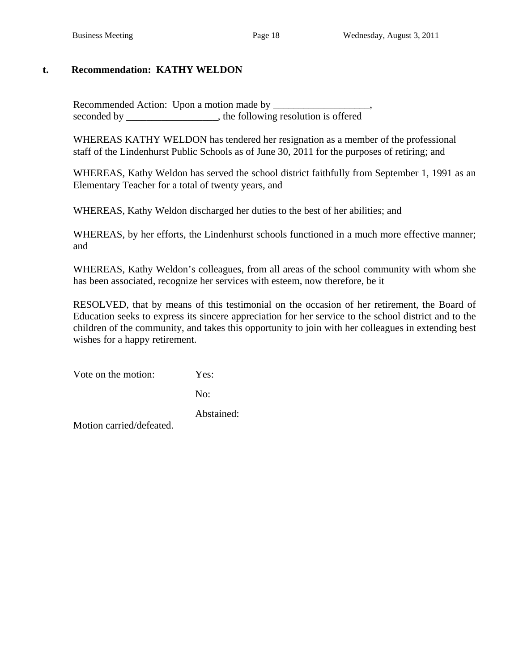# **t. Recommendation: KATHY WELDON**

Recommended Action: Upon a motion made by seconded by \_\_\_\_\_\_\_\_\_\_\_\_\_\_\_, the following resolution is offered

WHEREAS KATHY WELDON has tendered her resignation as a member of the professional staff of the Lindenhurst Public Schools as of June 30, 2011 for the purposes of retiring; and

WHEREAS, Kathy Weldon has served the school district faithfully from September 1, 1991 as an Elementary Teacher for a total of twenty years, and

WHEREAS, Kathy Weldon discharged her duties to the best of her abilities; and

WHEREAS, by her efforts, the Lindenhurst schools functioned in a much more effective manner; and

WHEREAS, Kathy Weldon's colleagues, from all areas of the school community with whom she has been associated, recognize her services with esteem, now therefore, be it

RESOLVED, that by means of this testimonial on the occasion of her retirement, the Board of Education seeks to express its sincere appreciation for her service to the school district and to the children of the community, and takes this opportunity to join with her colleagues in extending best wishes for a happy retirement.

Vote on the motion: Yes:

No:

Abstained: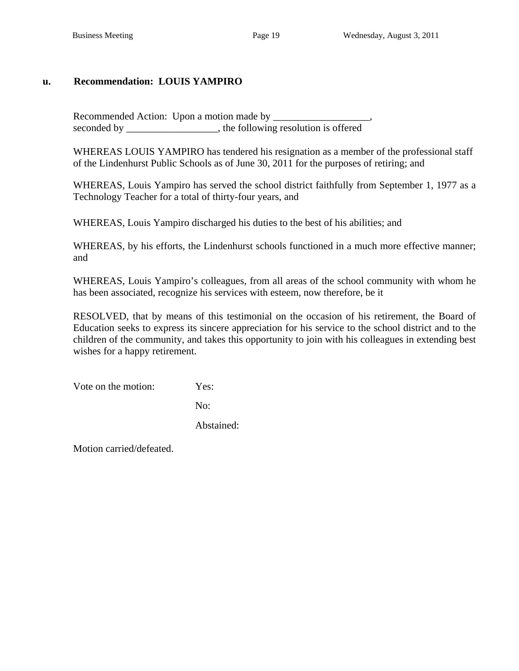# **u. Recommendation: LOUIS YAMPIRO**

Recommended Action: Upon a motion made by seconded by \_\_\_\_\_\_\_\_\_\_\_\_\_\_\_, the following resolution is offered

WHEREAS LOUIS YAMPIRO has tendered his resignation as a member of the professional staff of the Lindenhurst Public Schools as of June 30, 2011 for the purposes of retiring; and

WHEREAS, Louis Yampiro has served the school district faithfully from September 1, 1977 as a Technology Teacher for a total of thirty-four years, and

WHEREAS, Louis Yampiro discharged his duties to the best of his abilities; and

WHEREAS, by his efforts, the Lindenhurst schools functioned in a much more effective manner; and

WHEREAS, Louis Yampiro's colleagues, from all areas of the school community with whom he has been associated, recognize his services with esteem, now therefore, be it

RESOLVED, that by means of this testimonial on the occasion of his retirement, the Board of Education seeks to express its sincere appreciation for his service to the school district and to the children of the community, and takes this opportunity to join with his colleagues in extending best wishes for a happy retirement.

Vote on the motion: Yes:

No:

Abstained: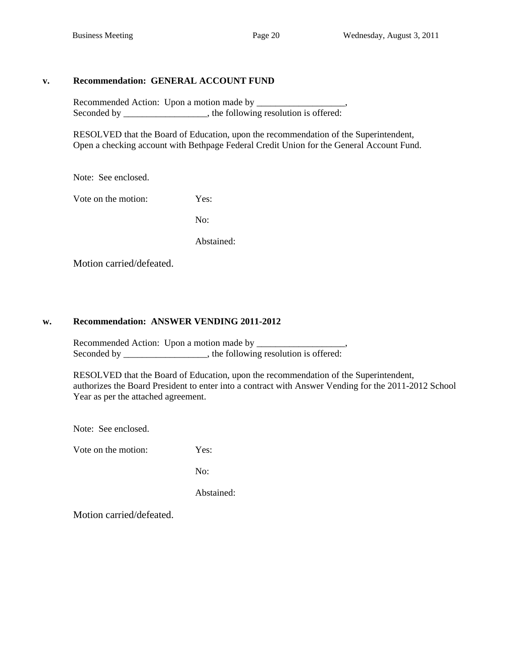#### **v. Recommendation: GENERAL ACCOUNT FUND**

 Recommended Action: Upon a motion made by \_\_\_\_\_\_\_\_\_\_\_\_\_\_\_\_\_\_\_, Seconded by \_\_\_\_\_\_\_\_\_\_\_\_\_\_\_, the following resolution is offered:

 RESOLVED that the Board of Education, upon the recommendation of the Superintendent, Open a checking account with Bethpage Federal Credit Union for the General Account Fund.

Note: See enclosed.

Vote on the motion: Yes:

No:

Abstained:

Motion carried/defeated.

## **w. Recommendation: ANSWER VENDING 2011-2012**

 Recommended Action: Upon a motion made by \_\_\_\_\_\_\_\_\_\_\_\_\_\_\_\_\_\_\_, Seconded by \_\_\_\_\_\_\_\_\_\_\_\_\_\_\_, the following resolution is offered:

 RESOLVED that the Board of Education, upon the recommendation of the Superintendent, authorizes the Board President to enter into a contract with Answer Vending for the 2011-2012 School Year as per the attached agreement.

Note: See enclosed.

Vote on the motion: Yes:

No:

Abstained: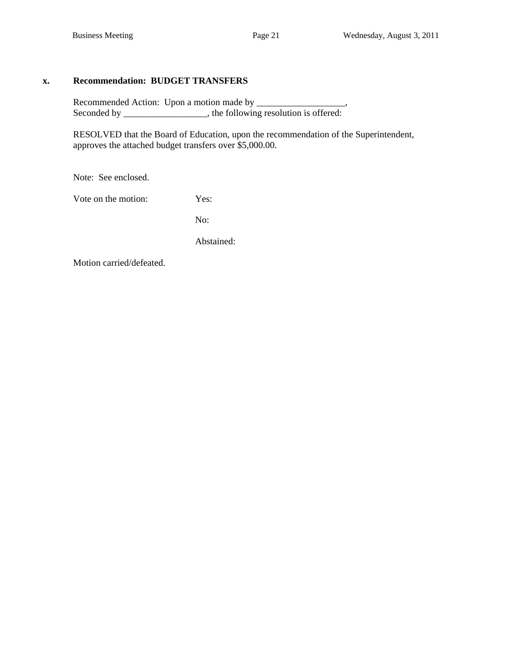#### **x. Recommendation: BUDGET TRANSFERS**

 Recommended Action: Upon a motion made by \_\_\_\_\_\_\_\_\_\_\_\_\_\_\_\_\_\_\_, Seconded by \_\_\_\_\_\_\_\_\_\_\_\_\_\_\_, the following resolution is offered:

 RESOLVED that the Board of Education, upon the recommendation of the Superintendent, approves the attached budget transfers over \$5,000.00.

Note: See enclosed.

Vote on the motion: Yes:

No:

Abstained: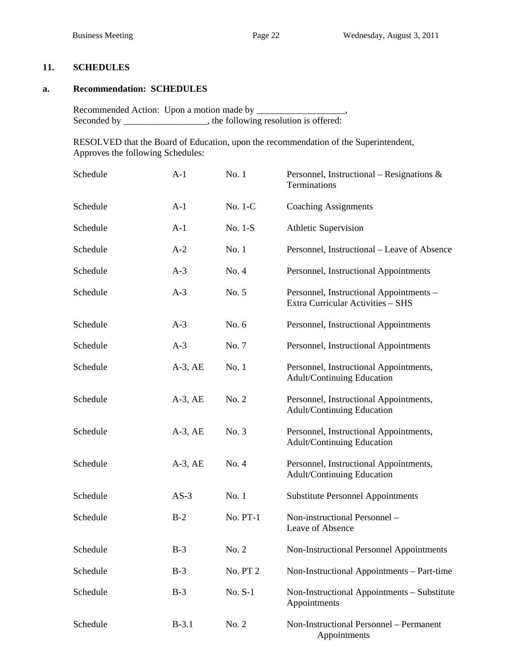## **11. SCHEDULES**

#### **a. Recommendation: SCHEDULES**

 Recommended Action: Upon a motion made by \_\_\_\_\_\_\_\_\_\_\_\_\_\_\_\_\_\_\_, Seconded by \_\_\_\_\_\_\_\_\_\_\_\_\_, the following resolution is offered:

 RESOLVED that the Board of Education, upon the recommendation of the Superintendent, Approves the following Schedules:

| Schedule | $A-1$        | No. 1    | Personnel, Instructional – Resignations $\&$<br>Terminations                 |
|----------|--------------|----------|------------------------------------------------------------------------------|
| Schedule | $A-1$        | No. 1-C  | <b>Coaching Assignments</b>                                                  |
| Schedule | $A-1$        | No. 1-S  | <b>Athletic Supervision</b>                                                  |
| Schedule | $A-2$        | No. 1    | Personnel, Instructional – Leave of Absence                                  |
| Schedule | $A-3$        | No. 4    | Personnel, Instructional Appointments                                        |
| Schedule | $A-3$        | No. 5    | Personnel, Instructional Appointments -<br>Extra Curricular Activities - SHS |
| Schedule | $A-3$        | No. 6    | Personnel, Instructional Appointments                                        |
| Schedule | $A-3$        | No. 7    | Personnel, Instructional Appointments                                        |
| Schedule | $A-3$ , $AE$ | No. 1    | Personnel, Instructional Appointments,<br>Adult/Continuing Education         |
| Schedule | $A-3$ , $AE$ | No. 2    | Personnel, Instructional Appointments,<br>Adult/Continuing Education         |
| Schedule | $A-3$ , $AE$ | No. 3    | Personnel, Instructional Appointments,<br>Adult/Continuing Education         |
| Schedule | $A-3$ , $AE$ | No. 4    | Personnel, Instructional Appointments,<br>Adult/Continuing Education         |
| Schedule | $AS-3$       | No. 1    | <b>Substitute Personnel Appointments</b>                                     |
| Schedule | $B-2$        | No. PT-1 | Non-instructional Personnel -<br>Leave of Absence                            |
| Schedule | $B-3$        | No. 2    | Non-Instructional Personnel Appointments                                     |
| Schedule | $B-3$        | No. PT 2 | Non-Instructional Appointments – Part-time                                   |
| Schedule | $B-3$        | No. S-1  | Non-Instructional Appointments - Substitute<br>Appointments                  |
| Schedule | $B-3.1$      | No. 2    | Non-Instructional Personnel - Permanent<br>Appointments                      |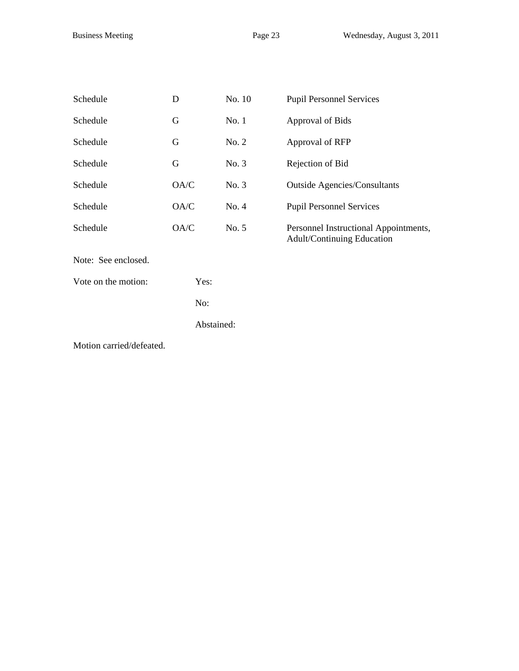| Schedule                 | D          | No. 10 | <b>Pupil Personnel Services</b>                                     |
|--------------------------|------------|--------|---------------------------------------------------------------------|
| Schedule                 | G          | No. 1  | Approval of Bids                                                    |
| Schedule                 | G          | No. 2  | Approval of RFP                                                     |
| Schedule                 | G          | No. 3  | Rejection of Bid                                                    |
| Schedule                 | OA/C       | No. 3  | <b>Outside Agencies/Consultants</b>                                 |
| Schedule                 | OA/C       | No. 4  | <b>Pupil Personnel Services</b>                                     |
| Schedule                 | OA/C       | No. 5  | Personnel Instructional Appointments,<br>Adult/Continuing Education |
| Note: See enclosed.      |            |        |                                                                     |
| Vote on the motion:      | Yes:       |        |                                                                     |
|                          | No:        |        |                                                                     |
|                          | Abstained: |        |                                                                     |
| Motion carried/defeated. |            |        |                                                                     |